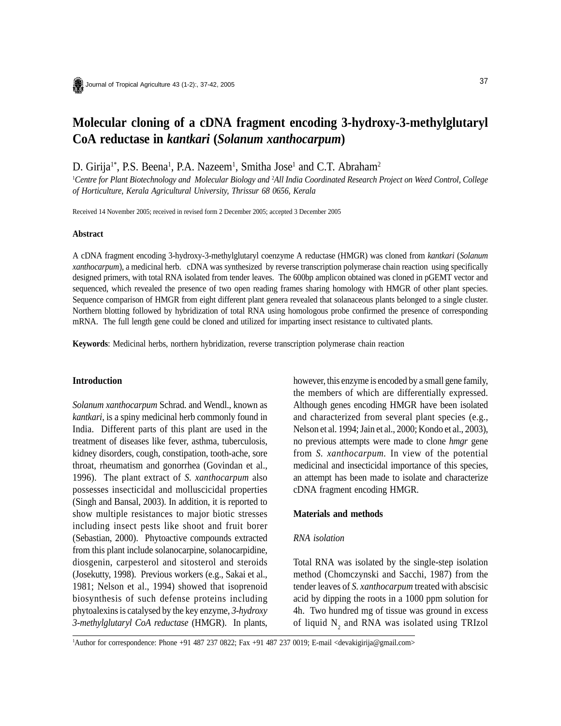# **Molecular cloning of a cDNA fragment encoding 3-hydroxy-3-methylglutaryl CoA reductase in** *kantkari* **(***Solanum xanthocarpum***)**

D. Girija<sup>1\*</sup>, P.S. Beena<sup>1</sup>, P.A. Nazeem<sup>1</sup>, Smitha Jose<sup>1</sup> and C.T. Abraham<sup>2</sup>

1 *Centre for Plant Biotechnology and Molecular Biology and* <sup>2</sup> *All India Coordinated Research Project on Weed Control, College of Horticulture, Kerala Agricultural University, Thrissur 68 0656, Kerala*

Received 14 November 2005; received in revised form 2 December 2005; accepted 3 December 2005

#### **Abstract**

A cDNA fragment encoding 3-hydroxy-3-methylglutaryl coenzyme A reductase (HMGR) was cloned from *kantkari* (*Solanum xanthocarpum*), a medicinal herb. cDNA was synthesized by reverse transcription polymerase chain reaction using specifically designed primers, with total RNA isolated from tender leaves. The 600bp amplicon obtained was cloned in pGEMT vector and sequenced, which revealed the presence of two open reading frames sharing homology with HMGR of other plant species. Sequence comparison of HMGR from eight different plant genera revealed that solanaceous plants belonged to a single cluster. Northern blotting followed by hybridization of total RNA using homologous probe confirmed the presence of corresponding mRNA. The full length gene could be cloned and utilized for imparting insect resistance to cultivated plants.

**Keywords**: Medicinal herbs, northern hybridization, reverse transcription polymerase chain reaction

#### **Introduction**

*Solanum xanthocarpum* Schrad. and Wendl., known as *kantkari*, is a spiny medicinal herb commonly found in India. Different parts of this plant are used in the treatment of diseases like fever, asthma, tuberculosis, kidney disorders, cough, constipation, tooth-ache, sore throat, rheumatism and gonorrhea (Govindan et al., 1996). The plant extract of *S. xanthocarpum* also possesses insecticidal and molluscicidal properties (Singh and Bansal, 2003). In addition, it is reported to show multiple resistances to major biotic stresses including insect pests like shoot and fruit borer (Sebastian, 2000). Phytoactive compounds extracted from this plant include solanocarpine, solanocarpidine, diosgenin, carpesterol and sitosterol and steroids (Josekutty, 1998). Previous workers (e.g., Sakai et al., 1981; Nelson et al., 1994) showed that isoprenoid biosynthesis of such defense proteins including phytoalexins is catalysed by the key enzyme, *3-hydroxy 3-methylglutaryl CoA reductase* (HMGR). In plants,

however, this enzyme is encoded by a small gene family, the members of which are differentially expressed. Although genes encoding HMGR have been isolated and characterized from several plant species (e.g., Nelson et al. 1994; Jain et al., 2000; Kondo et al., 2003), no previous attempts were made to clone *hmgr* gene from *S. xanthocarpum.* In view of the potential medicinal and insecticidal importance of this species, an attempt has been made to isolate and characterize cDNA fragment encoding HMGR.

# **Materials and methods**

#### *RNA isolation*

Total RNA was isolated by the single-step isolation method (Chomczynski and Sacchi, 1987) from the tender leaves of *S. xanthocarpum* treated with abscisic acid by dipping the roots in a 1000 ppm solution for 4h. Two hundred mg of tissue was ground in excess of liquid  $N_2$  and RNA was isolated using TRIzol

1 Author for correspondence: Phone +91 487 237 0822; Fax +91 487 237 0019; E-mail <devakigirija@gmail.com>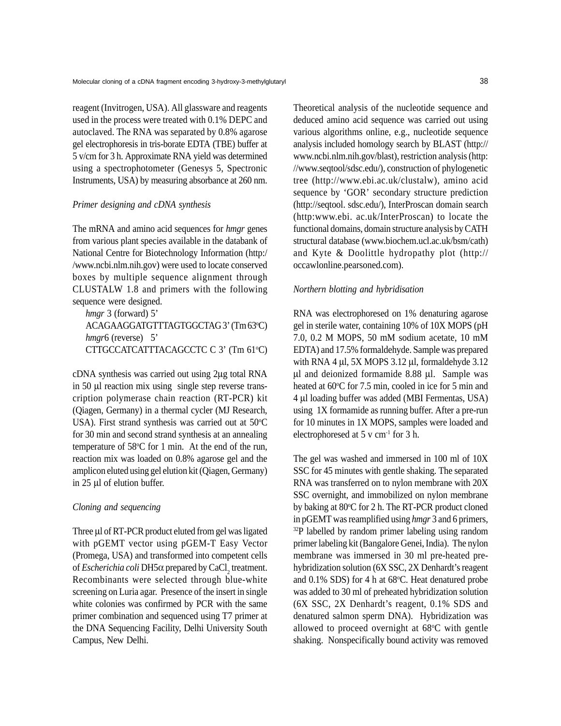reagent (Invitrogen, USA). All glassware and reagents used in the process were treated with 0.1% DEPC and autoclaved. The RNA was separated by 0.8% agarose gel electrophoresis in tris-borate EDTA (TBE) buffer at 5 v/cm for 3 h. Approximate RNA yield was determined using a spectrophotometer (Genesys 5, Spectronic Instruments, USA) by measuring absorbance at 260 nm.

#### *Primer designing and cDNA synthesis*

The mRNA and amino acid sequences for *hmgr* genes from various plant species available in the databank of National Centre for Biotechnology Information (http:/ /www.ncbi.nlm.nih.gov) were used to locate conserved boxes by multiple sequence alignment through CLUSTALW 1.8 and primers with the following sequence were designed.

*hmgr* 3 (forward) 5' ACAGAAGGATGTTTAGTGGCTAG 3' (Tm 63°C) *hmgr*6 (reverse) 5' CTTGCCATCATTTACAGCCTC C 3' (Tm 61°C)

cDNA synthesis was carried out using 2µg total RNA in 50 µl reaction mix using single step reverse transcription polymerase chain reaction (RT-PCR) kit (Qiagen, Germany) in a thermal cycler (MJ Research, USA). First strand synthesis was carried out at  $50^{\circ}$ C for 30 min and second strand synthesis at an annealing temperature of  $58^{\circ}$ C for 1 min. At the end of the run, reaction mix was loaded on 0.8% agarose gel and the amplicon eluted using gel elution kit (Qiagen, Germany) in 25 µl of elution buffer.

#### *Cloning and sequencing*

Three µl of RT-PCR product eluted from gel was ligated with pGEMT vector using pGEM-T Easy Vector (Promega, USA) and transformed into competent cells of *Escherichia coli* DH5α prepared by CaCl<sub>2</sub> treatment. Recombinants were selected through blue-white screening on Luria agar. Presence of the insert in single white colonies was confirmed by PCR with the same primer combination and sequenced using T7 primer at the DNA Sequencing Facility, Delhi University South Campus, New Delhi.

Theoretical analysis of the nucleotide sequence and deduced amino acid sequence was carried out using various algorithms online, e.g., nucleotide sequence analysis included homology search by BLAST (http:// www.ncbi.nlm.nih.gov/blast), restriction analysis (http: //www.seqtool/sdsc.edu/), construction of phylogenetic tree (http://www.ebi.ac.uk/clustalw), amino acid sequence by 'GOR' secondary structure prediction (http://seqtool. sdsc.edu/), InterProscan domain search (http:www.ebi. ac.uk/InterProscan) to locate the functional domains, domain structure analysis by CATH structural database (www.biochem.ucl.ac.uk/bsm/cath) and Kyte & Doolittle hydropathy plot (http:// occawlonline.pearsoned.com).

#### *Northern blotting and hybridisation*

RNA was electrophoresed on 1% denaturing agarose gel in sterile water, containing 10% of 10X MOPS (pH 7.0, 0.2 M MOPS, 50 mM sodium acetate, 10 mM EDTA) and 17.5% formaldehyde. Sample was prepared with RNA 4  $\mu$ l, 5X MOPS 3.12  $\mu$ l, formaldehyde 3.12 µl and deionized formamide 8.88 µl. Sample was heated at 60°C for 7.5 min, cooled in ice for 5 min and 4 µl loading buffer was added (MBI Fermentas, USA) using 1X formamide as running buffer. After a pre-run for 10 minutes in 1X MOPS, samples were loaded and electrophoresed at  $5 \text{ v cm}^{-1}$  for  $3 \text{ h}$ .

The gel was washed and immersed in 100 ml of 10X SSC for 45 minutes with gentle shaking. The separated RNA was transferred on to nylon membrane with 20X SSC overnight, and immobilized on nylon membrane by baking at 80°C for 2 h. The RT-PCR product cloned in pGEMT was reamplified using *hmgr* 3 and 6 primers, <sup>32</sup>P labelled by random primer labeling using random primer labeling kit (Bangalore Genei, India). The nylon membrane was immersed in 30 ml pre-heated prehybridization solution (6X SSC, 2X Denhardt's reagent and  $0.1\%$  SDS) for 4 h at 68 $°C$ . Heat denatured probe was added to 30 ml of preheated hybridization solution (6X SSC, 2X Denhardt's reagent, 0.1% SDS and denatured salmon sperm DNA). Hybridization was allowed to proceed overnight at  $68^{\circ}$ C with gentle shaking. Nonspecifically bound activity was removed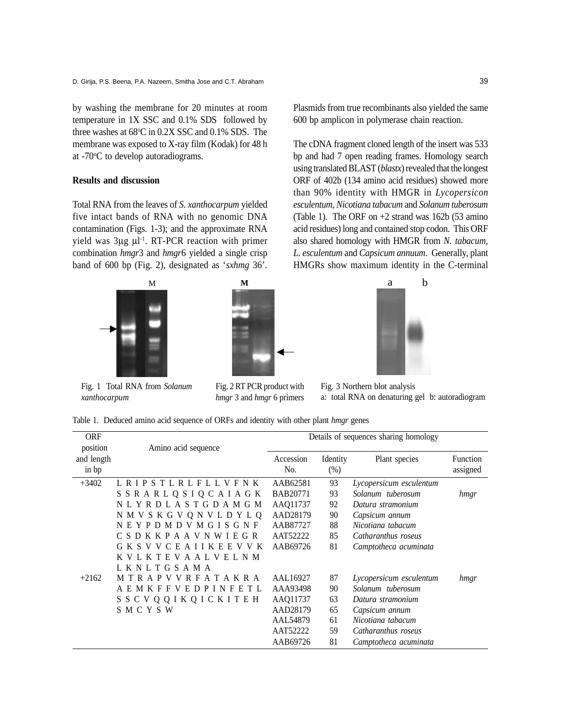by washing the membrane for 20 minutes at room temperature in 1X SSC and 0.1% SDS followed by three washes at  $68^{\circ}$ C in  $0.2X$  SSC and  $0.1\%$  SDS. The membrane was exposed to X-ray film (Kodak) for 48 h at -70°C to develop autoradiograms.

### **Results and discussion**

Total RNA from the leaves of *S*. *xanthocarpum* yielded five intact bands of RNA with no genomic DNA contamination (Figs. 1-3); and the approximate RNA yield was 3µg µl -1. RT-PCR reaction with primer combination *hmgr*3 and *hmgr*6 yielded a single crisp band of 600 bp (Fig. 2), designated as '*sxhmg* 36'.



Fig. 1 Total RNA from *Solanum xanthocarpum*



Fig. 2 RT PCR product with *hmgr* 3 and *hmgr* 6 primers

Plasmids from true recombinants also yielded the same 600 bp amplicon in polymerase chain reaction.

The cDNA fragment cloned length of the insert was 533 bp and had 7 open reading frames. Homology search using translated BLAST (*blastx*) revealed that the longest ORF of 402b (134 amino acid residues) showed more than 90% identity with HMGR in *Lycopersicon esculentum, Nicotiana tabacum* and *Solanum tuberosum* (Table 1). The ORF on  $+2$  strand was 162b (53 amino) acid residues) long and contained stop codon. This ORF also shared homology with HMGR from *N. tabacum, L. esculentum* and *Capsicum annuum*. Generally, plant HMGRs show maximum identity in the C-terminal



Fig. 3 Northern blot analysis a: total RNA on denaturing gel b: autoradiogram

Table 1. Deduced amino acid sequence of ORFs and identity with other plant *hmgr* genes

| <b>ORF</b> |                                 |                 |          | Details of sequences sharing homology |          |
|------------|---------------------------------|-----------------|----------|---------------------------------------|----------|
| position   | Amino acid sequence             |                 |          |                                       |          |
| and length |                                 | Accession       | Identity | Plant species                         | Function |
| in bp      |                                 | No.             | (%)      |                                       | assigned |
| $+3402$    | L R I P S T L R L F L L V F N K | AAB62581        | 93       | Lycopersicum esculentum               |          |
|            | S S R A R L Q S I Q C A I A G K | <b>BAB20771</b> | 93       | Solanum tuberosum                     | hmgr     |
|            | NLYRDLASTGDAMGM                 | AAQ11737        | 92       | Datura stramonium                     |          |
|            | N M V S K G V Q N V L D Y L Q   | AAD28179        | 90       | Capsicum annum                        |          |
|            | N E Y P D M D V M G I S G N F   | AAB87727        | 88       | Nicotiana tabacum                     |          |
|            | C S D K K P A A V N W I E G R   | AAT52222        | 85       | Catharanthus roseus                   |          |
|            | G K S V V C E A I I K E E V V K | AAB69726        | 81       | Camptotheca acuminata                 |          |
|            | K V L K T E V A A L V E L N M   |                 |          |                                       |          |
|            | LKNLTGSAMA                      |                 |          |                                       |          |
| $+2162$    | M T R A P V V R F A T A K R A   | AAL16927        | 87       | Lycopersicum esculentum               | hmgr     |
|            | AEMKFFVEDPINF<br>E T L          | AAA93498        | 90       | Solanum tuberosum                     |          |
|            | S S C V Q Q I K Q I C K I T E H | AAQ11737        | 63       | Datura stramonium                     |          |
|            | SMCYSW                          | AAD28179        | 65       | Capsicum annum                        |          |
|            |                                 | AAL54879        | 61       | Nicotiana tabacum                     |          |
|            |                                 | AAT52222        | 59       | Catharanthus roseus                   |          |
|            |                                 | AAB69726        | 81       | Camptotheca acuminata                 |          |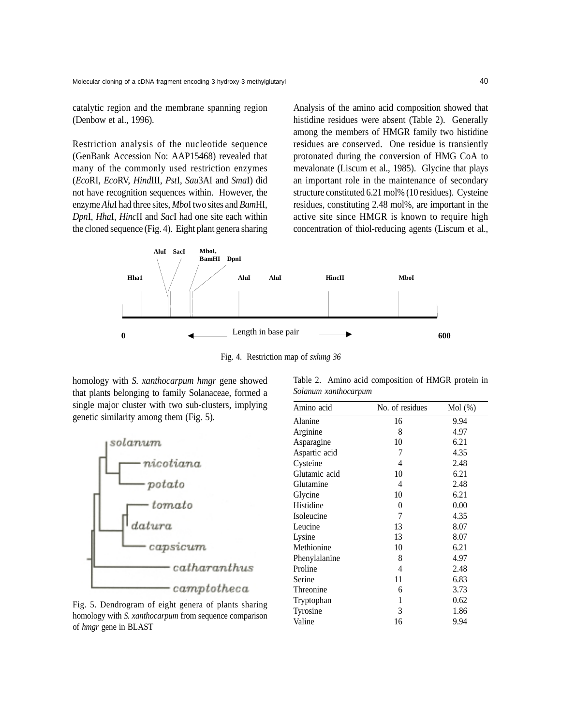catalytic region and the membrane spanning region (Denbow et al., 1996).

Restriction analysis of the nucleotide sequence (GenBank Accession No: AAP15468) revealed that many of the commonly used restriction enzymes (*Eco*RI, *Eco*RV, *Hind*III, *Pst*I, *Sau*3AI and *Sma*I) did not have recognition sequences within. However, the enzyme *Alu*I had three sites, *Mbo*I two sites and *Bam*HI, *Dpn*I, *Hha*I, *Hinc*II and *Sac*I had one site each within the cloned sequence (Fig. 4). Eight plant genera sharing

Analysis of the amino acid composition showed that histidine residues were absent (Table 2). Generally among the members of HMGR family two histidine residues are conserved. One residue is transiently protonated during the conversion of HMG CoA to mevalonate (Liscum et al., 1985). Glycine that plays an important role in the maintenance of secondary structure constituted 6.21 mol% (10 residues). Cysteine residues, constituting 2.48 mol%, are important in the active site since HMGR is known to require high concentration of thiol-reducing agents (Liscum et al.,



Fig. 4. Restriction map of *sxhmg 36*

homology with *S. xanthocarpum hmgr* gene showed that plants belonging to family Solanaceae, formed a single major cluster with two sub-clusters, implying genetic similarity among them (Fig. 5).



Fig. 5. Dendrogram of eight genera of plants sharing homology with *S. xanthocarpum* from sequence comparison of *hmgr* gene in BLAST

|                      |  | Table 2. Amino acid composition of HMGR protein in |  |  |
|----------------------|--|----------------------------------------------------|--|--|
| Solanum xanthocarpum |  |                                                    |  |  |

| Amino acid    | No. of residues | Mol(%) |
|---------------|-----------------|--------|
| Alanine       | 16              | 9.94   |
| Arginine      | 8               | 4.97   |
| Asparagine    | 10              | 6.21   |
| Aspartic acid | 7               | 4.35   |
| Cysteine      | 4               | 2.48   |
| Glutamic acid | 10              | 6.21   |
| Glutamine     | 4               | 2.48   |
| Glycine       | 10              | 6.21   |
| Histidine     | 0               | 0.00   |
| Isoleucine    | 7               | 4.35   |
| Leucine       | 13              | 8.07   |
| Lysine        | 13              | 8.07   |
| Methionine    | 10              | 6.21   |
| Phenylalanine | 8               | 4.97   |
| Proline       | 4               | 2.48   |
| Serine        | 11              | 6.83   |
| Threonine     | 6               | 3.73   |
| Tryptophan    | 1               | 0.62   |
| Tyrosine      | 3               | 1.86   |
| Valine        | 16              | 9.94   |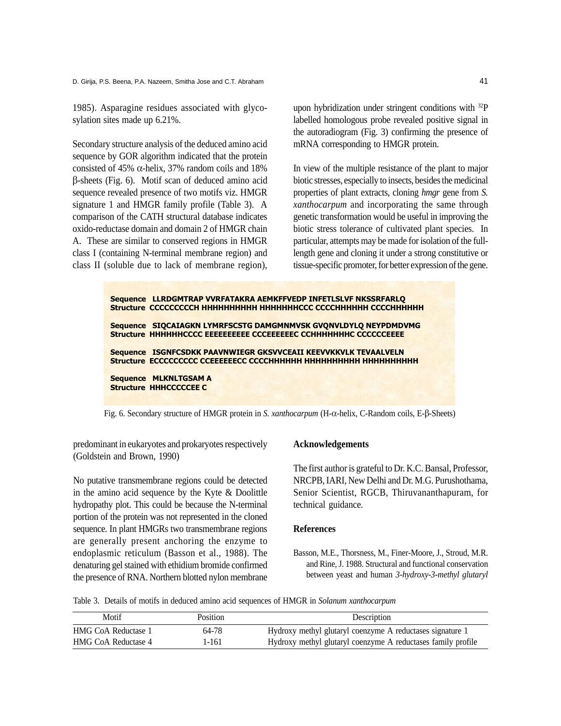D. Girija, P.S. Beena, P.A. Nazeem, Smitha Jose and C.T. Abraham

1985). Asparagine residues associated with glycosylation sites made up 6.21%.

Secondary structure analysis of the deduced amino acid sequence by GOR algorithm indicated that the protein consisted of 45%  $\alpha$ -helix, 37% random coils and 18% β-sheets (Fig. 6). Motif scan of deduced amino acid sequence revealed presence of two motifs viz. HMGR signature 1 and HMGR family profile (Table 3). A comparison of the CATH structural database indicates oxido-reductase domain and domain 2 of HMGR chain A. These are similar to conserved regions in HMGR class I (containing N-terminal membrane region) and class II (soluble due to lack of membrane region), upon hybridization under stringent conditions with 32P labelled homologous probe revealed positive signal in the autoradiogram (Fig. 3) confirming the presence of mRNA corresponding to HMGR protein.

In view of the multiple resistance of the plant to major biotic stresses, especially to insects, besides the medicinal properties of plant extracts, cloning *hmgr* gene from *S. xanthocarpum* and incorporating the same through genetic transformation would be useful in improving the biotic stress tolerance of cultivated plant species. In particular, attempts may be made for isolation of the fulllength gene and cloning it under a strong constitutive or tissue-specific promoter, for better expression of the gene.

| Sequence LLRDGMTRAP VVRFATAKRA AEMKFFVEDP INFETLSLVF NKSSRFARLQ                                                                     |
|-------------------------------------------------------------------------------------------------------------------------------------|
| Sequence SIQCAIAGKN LYMRFSCSTG DAMGMNMVSK GVQNVLDYLQ NEYPDMDVMG<br>Structure HHHHHHCCCC EEEEEEEEEE CCCEEEEEEC CCHHHHHHHC CCCCCCEEEE |
| Sequence ISGNFCSDKK PAAVNWIEGR GKSVVCEAII KEEVVKKVLK TEVAALVELN                                                                     |
| Sequence MLKNLTGSAM A<br><b>Structure HHHCCCCCEE C</b>                                                                              |
|                                                                                                                                     |

Fig. 6. Secondary structure of HMGR protein in *S. xanthocarpum* (H-α-helix, C-Random coils, E-β-Sheets)

predominant in eukaryotes and prokaryotes respectively (Goldstein and Brown, 1990)

No putative transmembrane regions could be detected in the amino acid sequence by the Kyte & Doolittle hydropathy plot. This could be because the N-terminal portion of the protein was not represented in the cloned sequence. In plant HMGRs two transmembrane regions are generally present anchoring the enzyme to endoplasmic reticulum (Basson et al., 1988). The denaturing gel stained with ethidium bromide confirmed the presence of RNA. Northern blotted nylon membrane

## **Acknowledgements**

The first author is grateful to Dr. K.C. Bansal, Professor, NRCPB, IARI, New Delhi and Dr. M.G. Purushothama, Senior Scientist, RGCB, Thiruvananthapuram, for technical guidance.

# **References**

Basson, M.E., Thorsness, M., Finer-Moore, J., Stroud, M.R. and Rine, J. 1988. Structural and functional conservation between yeast and human *3-hydroxy-3-methyl glutaryl*

Table 3. Details of motifs in deduced amino acid sequences of HMGR in *Solanum xanthocarpum*

| Motif               | Position | Description                                                  |
|---------------------|----------|--------------------------------------------------------------|
| HMG CoA Reductase 1 | 64-78    | Hydroxy methyl glutaryl coenzyme A reductases signature 1    |
| HMG CoA Reductase 4 | 1-161    | Hydroxy methyl glutaryl coenzyme A reductases family profile |